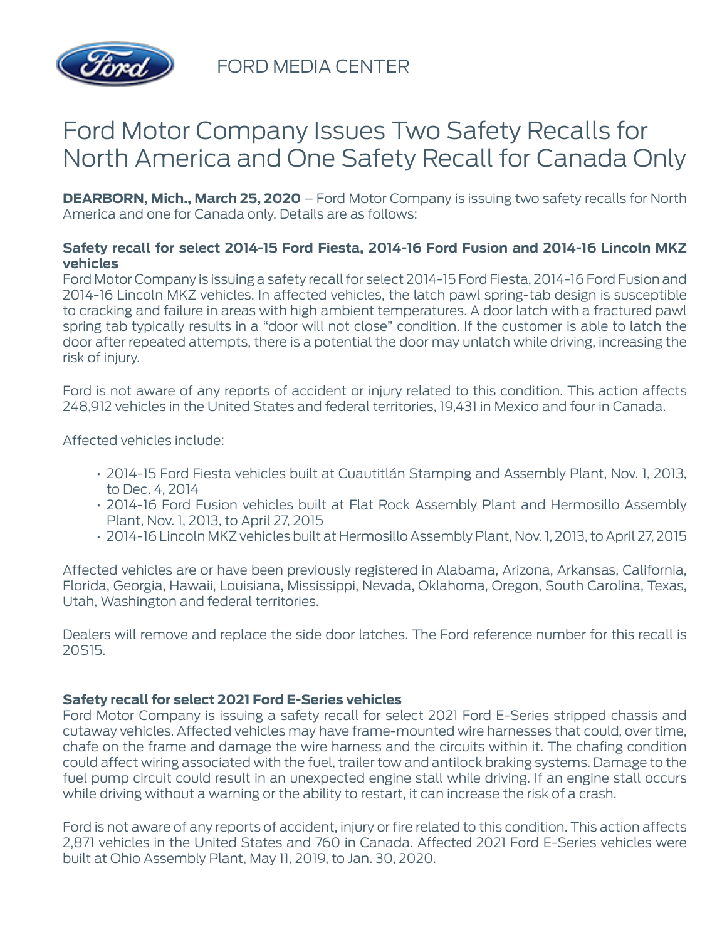

FORD MEDIA CENTER

## Ford Motor Company Issues Two Safety Recalls for North America and One Safety Recall for Canada Only

**DEARBORN, Mich., March 25, 2020** – Ford Motor Company is issuing two safety recalls for North America and one for Canada only. Details are as follows:

## **Safety recall for select 2014-15 Ford Fiesta, 2014-16 Ford Fusion and 2014-16 Lincoln MKZ vehicles**

Ford Motor Company is issuing a safety recall for select 2014-15 Ford Fiesta, 2014-16 Ford Fusion and 2014-16 Lincoln MKZ vehicles. In affected vehicles, the latch pawl spring-tab design is susceptible to cracking and failure in areas with high ambient temperatures. A door latch with a fractured pawl spring tab typically results in a "door will not close" condition. If the customer is able to latch the door after repeated attempts, there is a potential the door may unlatch while driving, increasing the risk of injury.

Ford is not aware of any reports of accident or injury related to this condition. This action affects 248,912 vehicles in the United States and federal territories, 19,431 in Mexico and four in Canada.

Affected vehicles include:

- 2014-15 Ford Fiesta vehicles built at Cuautitlán Stamping and Assembly Plant, Nov. 1, 2013, to Dec. 4, 2014
- 2014-16 Ford Fusion vehicles built at Flat Rock Assembly Plant and Hermosillo Assembly Plant, Nov. 1, 2013, to April 27, 2015
- 2014-16 Lincoln MKZ vehicles built at Hermosillo Assembly Plant, Nov. 1, 2013, to April 27, 2015

Affected vehicles are or have been previously registered in Alabama, Arizona, Arkansas, California, Florida, Georgia, Hawaii, Louisiana, Mississippi, Nevada, Oklahoma, Oregon, South Carolina, Texas, Utah, Washington and federal territories.

Dealers will remove and replace the side door latches. The Ford reference number for this recall is 20S15.

## **Safety recall for select 2021 Ford E-Series vehicles**

Ford Motor Company is issuing a safety recall for select 2021 Ford E-Series stripped chassis and cutaway vehicles. Affected vehicles may have frame-mounted wire harnesses that could, over time, chafe on the frame and damage the wire harness and the circuits within it. The chafing condition could affect wiring associated with the fuel, trailer tow and antilock braking systems. Damage to the fuel pump circuit could result in an unexpected engine stall while driving. If an engine stall occurs while driving without a warning or the ability to restart, it can increase the risk of a crash.

Ford is not aware of any reports of accident, injury or fire related to this condition. This action affects 2,871 vehicles in the United States and 760 in Canada. Affected 2021 Ford E-Series vehicles were built at Ohio Assembly Plant, May 11, 2019, to Jan. 30, 2020.